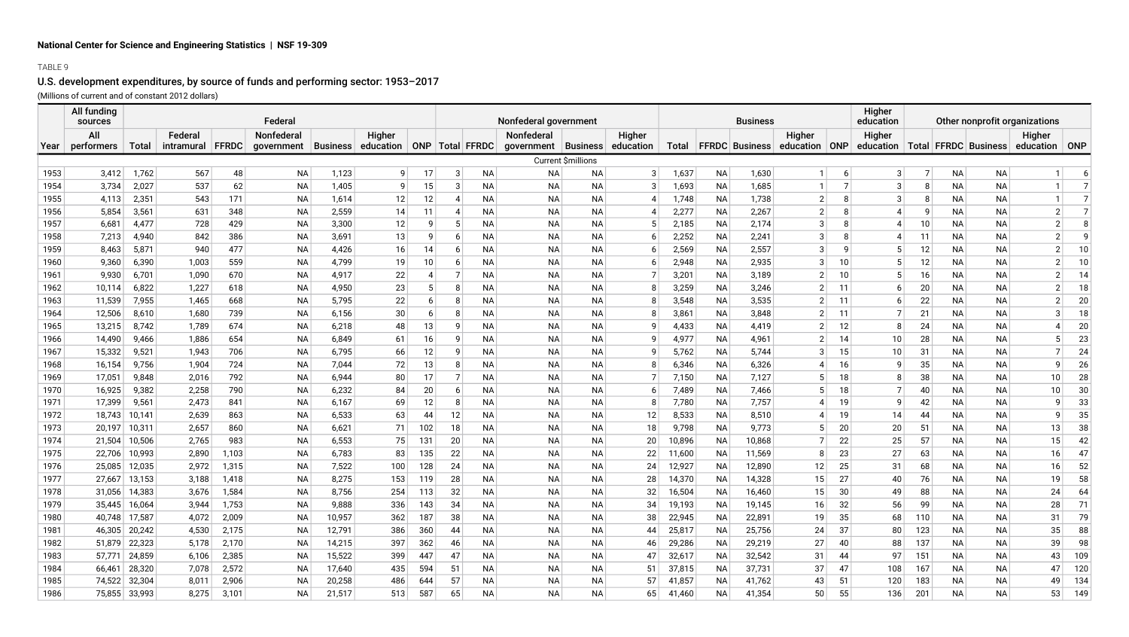## TABLE 9

# U.S. development expenditures, by source of funds and performing sector: 1953–2017 (Millions of current and of constant 2012 dollars)

|      | All funding<br>sources |               |                             |       | Federal                  |        |                                              |     |                   |           | Nonfederal government               |                    |                     |        |           | <b>Business</b> |                                                      |                | Higher<br>education                            |                 | Other nonprofit organizations |           |                          |                |
|------|------------------------|---------------|-----------------------------|-------|--------------------------|--------|----------------------------------------------|-----|-------------------|-----------|-------------------------------------|--------------------|---------------------|--------|-----------|-----------------|------------------------------------------------------|----------------|------------------------------------------------|-----------------|-------------------------------|-----------|--------------------------|----------------|
| Year | All<br>performers      | Total         | Federal<br>intramural FFRDC |       | Nonfederal<br>government |        | Higher<br>Business education ONP Total FFRDC |     |                   |           | Nonfederal<br>government   Business |                    | Higher<br>education |        |           |                 | Higher<br>Total   FFRDC   Business   education   ONP |                | Higher<br>education   Total   FFRDC   Business |                 |                               |           | Higher<br>education ONP  |                |
|      |                        |               |                             |       |                          |        |                                              |     |                   |           |                                     | Current \$millions |                     |        |           |                 |                                                      |                |                                                |                 |                               |           |                          |                |
| 1953 | 3,412                  | 1,762         | 567                         | 48    | <b>NA</b>                | 1,123  | 9                                            | 17  | $\lceil 3 \rceil$ | <b>NA</b> |                                     |                    | 3                   | 1,637  | NA        | 1,630           | $\mathbf{1}$                                         | $6 \mid$       | 3 <sup>2</sup>                                 | 7               | NA                            | <b>NA</b> | $\mathbf{1}$             | 6              |
| 1954 | 3,734                  | 2,027         | 537                         | 62    | <b>NA</b>                | 1,405  | 9                                            | 15  | 3                 | <b>NA</b> | ΝA<br><b>NA</b>                     | ΝA<br><b>NA</b>    |                     | 1,693  | <b>NA</b> | 1,685           | $\mathbf{1}$                                         | 7 <sup>1</sup> | 3                                              | 8               | <b>NA</b>                     | <b>NA</b> | $\mathbf{1}$             |                |
| 1955 | 4,113                  | 2,351         | 543                         | 171   | NA                       | 1,614  | 12                                           | 12  | $\overline{A}$    | <b>NA</b> | NA                                  | ΝA                 |                     | 1,748  | NA        | 1,738           | $\overline{2}$                                       | 8              | 3                                              | 8               | <b>NA</b>                     | NA        |                          |                |
| 1956 | 5,854                  | 3,561         | 631                         | 348   | <b>NA</b>                | 2,559  | 14                                           | 11  | 4                 | <b>NA</b> | <b>NA</b>                           | <b>NA</b>          |                     | 2,277  | <b>NA</b> | 2,267           | $\overline{2}$                                       | 8              |                                                | 9               | <b>NA</b>                     | <b>NA</b> | $\overline{2}$           | $\overline{7}$ |
| 1957 | 6,681                  | 4,477         | 728                         | 429   | <b>NA</b>                | 3,300  | 12                                           | 9   |                   | <b>NA</b> | <b>NA</b>                           | <b>NA</b>          |                     | 2,185  | <b>NA</b> | 2,174           | 3                                                    | 8              | $\overline{A}$                                 | 10 <sup>1</sup> | <b>NA</b>                     | <b>NA</b> | $\overline{2}$           | 8              |
| 1958 | 7,213                  | 4,940         | 842                         | 386   | NA                       | 3,691  | 13                                           | 9   | 6                 | <b>NA</b> | NA                                  | ΝA                 |                     | 2,252  | <b>NA</b> | 2,241           | 3                                                    | 8              | 4                                              | 11              | ΝA                            | <b>NA</b> | $\overline{2}$           | 9              |
| 1959 | 8,463                  | 5,871         | 940                         | 477   | NA                       | 4,426  | 16                                           | 14  | 6                 | <b>NA</b> | NA                                  | ΝA                 |                     | 2,569  | NA        | 2,557           | 3                                                    | 9              |                                                | 12              | ΝA                            | NA        | $\overline{2}$           | 10             |
| 1960 | 9,360                  | 6,390         | 1,003                       | 559   | NA                       | 4,799  | 19                                           | 10  | 6                 | <b>NA</b> | NA                                  | ΝA                 |                     | 2,948  | NA        | 2,935           | 3                                                    | 10             |                                                | 12              | ΝA                            | NA        | $\overline{2}$           | 10             |
| 1961 | 9,930                  | 6,701         | 1,090                       | 670   | <b>NA</b>                | 4,917  | 22                                           | 4   | $\overline{7}$    | <b>NA</b> | <b>NA</b>                           | <b>NA</b>          |                     | 3,201  | <b>NA</b> | 3,189           |                                                      | 10             | 5                                              | 16              | <b>NA</b>                     | <b>NA</b> | $\overline{2}$           | 14             |
| 1962 | 10,114                 | 6,822         | 1,227                       | 618   | NA                       | 4,950  | 23                                           | 5   |                   | <b>NA</b> | NA                                  | ΝA                 |                     | 3,259  | NA        | 3,246           |                                                      | 11             | 6                                              | 20              | <b>NA</b>                     | <b>NA</b> | $\overline{2}$           | 18             |
| 1963 | 11,539                 | 7,955         | 1,465                       | 668   | NA                       | 5,795  | 22                                           | 6   |                   | <b>NA</b> | ΝA                                  | ΝA                 |                     | 3,548  | NA        | 3,535           |                                                      | 11             | 6                                              | 22              | ΝA                            | NA        | $\overline{2}$           | 20             |
| 1964 | 12,506                 | 8,610         | 1,680                       | 739   | NA                       | 6,156  | 30                                           | 6   |                   | <b>NA</b> | NA                                  | ΝA                 |                     | 3,861  | NA        | 3,848           |                                                      | 11             | 7                                              | 21              | ΝA                            | NA        | 3                        | 18             |
| 1965 | 13,215                 | 8,742         | 1,789                       | 674   | NA                       | 6,218  | 48                                           | 13  | q                 | ΝA        | ΝA                                  | ΝA                 | q                   | 4,433  | NA        | 4,419           |                                                      | 12             | 8                                              | 24              | NA                            | NA        | $\boldsymbol{\varDelta}$ | 20             |
| 1966 | 14,490                 | 9,466         | 1,886                       | 654   | <b>NA</b>                | 6,849  | 61                                           | 16  | q                 | <b>NA</b> | <b>NA</b>                           | <b>NA</b>          | q                   | 4,977  | <b>NA</b> | 4,961           |                                                      | 14             | 10                                             | 28              | <b>NA</b>                     | <b>NA</b> | 5                        | 23             |
| 1967 | 15,332                 | 9,521         | 1,943                       | 706   | NA                       | 6,795  | 66                                           | 12  | -9                | <b>NA</b> | NA                                  | ΝA                 |                     | 5,762  | NA        | 5,744           |                                                      | 15             | 10 <sup>1</sup>                                | 31              | NА                            | NA        | $\overline{7}$           | 24             |
| 1968 | 16,154                 | 9,756         | 1,904                       | 724   | NA                       | 7,044  | 72                                           | 13  |                   | <b>NA</b> | NA                                  | ΝA                 |                     | 6,346  | NA        | 6,326           |                                                      | 16             | 9                                              | 35              | ΝA                            | NA        | 9                        | 26             |
| 1969 | 17,051                 | 9,848         | 2,016                       | 792   | <b>NA</b>                | 6,944  | 80                                           | 17  | $\overline{7}$    | <b>NA</b> | <b>NA</b>                           | <b>NA</b>          |                     | 7,150  | <b>NA</b> | 7,127           | -5                                                   | 18             | 8                                              | 38              | <b>NA</b>                     | NA        | 10                       | 28             |
| 1970 | 16,925                 | 9,382         | 2,258                       | 790   | NA                       | 6,232  | 84                                           | 20  | 6                 | <b>NA</b> | NA                                  | ΝA                 |                     | 7,489  | ΝA        | 7,466           |                                                      | 18             | 7                                              | 40              | <b>NA</b>                     | <b>NA</b> | 10                       | 30             |
| 1971 | 17,399                 | 9,561         | 2,473                       | 841   | <b>NA</b>                | 6,167  | 69                                           | 12  | -8                | <b>NA</b> | <b>NA</b>                           | <b>NA</b>          |                     | 7,780  | <b>NA</b> | 7,757           |                                                      | 19             | 9                                              | 42              | <b>NA</b>                     | <b>NA</b> | $\mathsf{g}$             | 33             |
| 1972 | 18,743                 | 10,141        | 2,639                       | 863   | <b>NA</b>                | 6,533  | 63                                           | 44  | 12                | <b>NA</b> | NA                                  | <b>NA</b>          | 12                  | 8,533  | <b>NA</b> | 8,510           |                                                      | 19             | 14                                             | 44              | <b>NA</b>                     | <b>NA</b> | 9                        | 35             |
| 1973 | 20,197                 | 10,311        | 2,657                       | 860   | NA                       | 6,621  | 71                                           | 102 | 18                | <b>NA</b> | ΝA                                  | ΝA                 | 18                  | 9,798  | NA        | 9,773           | 5                                                    | 20             | 20                                             | 51              | <b>NA</b>                     | <b>NA</b> | 13                       | 38             |
| 1974 | 21,504                 | 10,506        | 2,765                       | 983   | <b>NA</b>                | 6,553  | 75                                           | 131 | 20                | <b>NA</b> | <b>NA</b>                           | <b>NA</b>          | 20                  | 10,896 | <b>NA</b> | 10,868          |                                                      | 22             | 25                                             | 57              | <b>NA</b>                     | <b>NA</b> | 15                       | 42             |
| 1975 | 22,706                 | 10,993        | 2,890                       | 1,103 | NA                       | 6,783  | 83                                           | 135 | 22                | <b>NA</b> | NA                                  | <b>NA</b>          | 22                  | 11,600 | NA        | 11,569          | 8                                                    | 23             | 27                                             | 63              | <b>NA</b>                     | <b>NA</b> | 16                       | 47             |
| 1976 | 25,085                 | 12,035        | 2,972                       | 1,315 | <b>NA</b>                | 7,522  | 100                                          | 128 | 24                | <b>NA</b> | <b>NA</b>                           | <b>NA</b>          | 24                  | 12,927 | <b>NA</b> | 12,890          | 12                                                   | 25             | 31                                             | 68              | <b>NA</b>                     | <b>NA</b> | 16                       | 52             |
| 1977 | 27,667                 | 13,153        | 3,188                       | 1,418 | <b>NA</b>                | 8,275  | 153                                          | 119 | 28                | <b>NA</b> | NA                                  | <b>NA</b>          | 28                  | 14,370 | NA        | 14,328          | 15                                                   | 27             | 40                                             | 76              | ΝA                            | NA        | 19                       | 58             |
| 1978 | 31,056                 | 14,383        | 3,676                       | 1,584 | NA                       | 8,756  | 254                                          | 113 | 32                | <b>NA</b> | NA                                  | ΝA                 | 32                  | 16,504 | NA        | 16,460          | 15                                                   | 30             | 49                                             | 88              | NA                            | NA        | 24                       | 64             |
| 1979 | 35,445                 | 16,064        | 3,944                       | 1,753 | <b>NA</b>                | 9,888  | 336                                          | 143 | 34                | <b>NA</b> | NA                                  | <b>NA</b>          | 34                  | 19,193 | <b>NA</b> | 19,145          | 16                                                   | 32             | 56                                             | 99              | <b>NA</b>                     | <b>NA</b> | 28                       | 71             |
| 1980 | 40,748                 | 17,587        | 4,072                       | 2,009 | NA                       | 10,957 | 362                                          | 187 | 38                | NA        | NA                                  | ΝA                 | 38                  | 22,945 | NA        | 22,891          | 19                                                   | 35             | 68                                             | 110             | NA                            | NA        | 31                       | 79             |
| 1981 | 46,305                 | 20,242        | 4,530                       | 2,175 | <b>NA</b>                | 12,791 | 386                                          | 360 | 44                | <b>NA</b> | <b>NA</b>                           | <b>NA</b>          | 44                  | 25,817 | NA        | 25,756          | 24                                                   | 37             | 80                                             | 123             | <b>NA</b>                     | <b>NA</b> | 35                       | 88             |
| 1982 | 51,879                 | 22,323        | 5,178                       | 2,170 | <b>NA</b>                | 14,215 | 397                                          | 362 | 46                | <b>NA</b> | <b>NA</b>                           | <b>NA</b>          | 46                  | 29,286 | <b>NA</b> | 29,219          | 27                                                   | 40             | 88                                             | 137             | <b>NA</b>                     | <b>NA</b> | 39                       | 98             |
| 1983 | 57.771                 | 24,859        | 6,106                       | 2,385 | NA.                      | 15,522 | 399                                          | 447 | 47                | <b>NA</b> | <b>NA</b>                           | <b>NA</b>          | 47                  | 32,617 | NA        | 32,542          | 31                                                   | 44             | 97                                             | 151             | <b>NA</b>                     | <b>NA</b> | 43                       | 109            |
| 1984 | 66,461                 | 28,320        | 7,078                       | 2,572 | NA.                      | 17,640 | 435                                          | 594 | 51                | <b>NA</b> | <b>NA</b>                           | ΝA                 | 51                  | 37,815 | ΝA        | 37,731          | 37                                                   | 47             | 108                                            | 167             | <b>NA</b>                     | <b>NA</b> | 47                       | 120            |
| 1985 | 74,522                 | 32,304        | 8,011                       | 2,906 | NA                       | 20,258 | 486                                          | 644 | 57                | <b>NA</b> | <b>NA</b>                           | <b>NA</b>          | 57                  | 41,857 | <b>NA</b> | 41,762          | 43                                                   | 51             | 120                                            | 183             | <b>NA</b>                     | <b>NA</b> | 49                       | 134            |
| 1986 |                        | 75,855 33,993 | 8,275                       | 3.101 | <b>NA</b>                | 21.517 | 513                                          | 587 | 65                | <b>NA</b> | <b>NA</b>                           | <b>NA</b>          | 65                  | 41,460 | <b>NA</b> | 41.354          | 50                                                   | 55             | 136                                            | 201             | <b>NA</b>                     | <b>NA</b> | 53                       | 149            |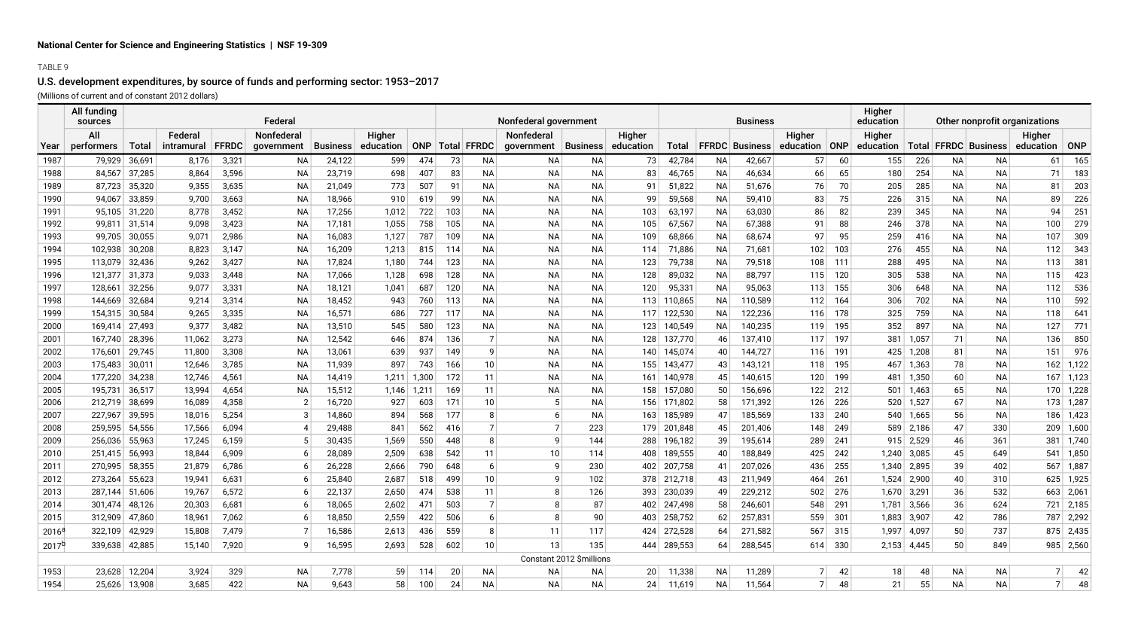## TABLE 9

# U.S. development expenditures, by source of funds and performing sector: 1953–2017

(Millions of current and of constant 2012 dollars)

|                | All funding<br>sources |                  |                 |                | Federal         |                  |            |            |                     |                      | Nonfederal government  |                          |            |                    |           | <b>Business</b>       |                          | <b>Higher</b><br>education | Other nonprofit organizations |                 |                        |                |               |
|----------------|------------------------|------------------|-----------------|----------------|-----------------|------------------|------------|------------|---------------------|----------------------|------------------------|--------------------------|------------|--------------------|-----------|-----------------------|--------------------------|----------------------------|-------------------------------|-----------------|------------------------|----------------|---------------|
|                | All                    |                  | Federal         |                | Nonfederal      |                  | Higher     |            |                     |                      | Nonfederal             |                          | Higher     |                    |           |                       | Higher                   | Higher                     |                               |                 |                        | Higher         |               |
| Year           | performers             | <b>Total</b>     | intramural      | <b>FFRDC</b>   | government      | <b>Business</b>  | education  |            | ONP   Total   FFRDC |                      | qovernment             | <b>Business</b>          | education  | <b>Total</b>       |           | <b>FFRDC</b> Business | $ $ ONP<br>education     | education                  |                               |                 | Total FFRDC Business   | education      | ONP           |
| 1987           | 79,929                 | 36,691           | 8,176           | 3,321          | <b>NA</b>       | 24,122           | 599        | 474        | 73                  | <b>NA</b>            | <b>NA</b>              | <b>NA</b>                | 73         | 42,784             | <b>NA</b> | 42,667                | 57<br>60                 | 155                        | 226                           | <b>NA</b>       | <b>NA</b>              | 61             | 165           |
| 1988           | 84,567                 | 37,285           | 8,864           | 3,596          | <b>NA</b>       | 23,719           | 698        | 407        | 83                  | NA.                  | <b>NA</b>              | <b>NA</b>                | 83         | 46,765             | ΝA        | 46,634                | 66<br>65                 | 180                        | 254                           | ΝA              | <b>NA</b>              | 71             | 183           |
| 1989           | 87,723                 | 35,320           | 9,355           | 3,635          | <b>NA</b>       | 21,049           | 773        | 507        | 91                  | NA.                  | <b>NA</b>              | <b>NA</b>                | 91         | 51,822             | <b>NA</b> | 51,676                | 70<br>76                 | 205                        | 285                           | <b>NA</b>       | <b>NA</b>              | 81             | 203           |
| 1990           | 94,067                 | 33,859           | 9,700           | 3,663          | NA              | 18,966           | 910        | 619        | 99                  | ΝA                   | <b>NA</b>              | ΝA                       | 99         | 59,568             | ΝA        | 59,410                | 75<br>83                 | 226                        | 315                           | ΝA              | <b>NA</b>              | 89             | 226           |
| 1991           | 95,105                 | 31,220           | 8,778           | 3,452          | NA              | 17,256           | 1,012      | 722        | 103                 | ΝA                   | <b>NA</b>              | <b>NA</b>                | 103        | 63,197             | NA        | 63,030                | 86<br>82                 | 239                        | 345                           | <b>NA</b>       | <b>NA</b>              | 94             | 251           |
| 1992           |                        | 99,811 31,514    | 9,098           | 3,423          | <b>NA</b>       | 17,181           | 1,055      | 758        | 105                 | <b>NA</b>            | <b>NA</b>              | <b>NA</b>                | 105        | 67,567             | NA        | 67,388                | 88<br>91                 | 246                        | 378                           | <b>NA</b>       | <b>NA</b>              | 100            | 279           |
| 1993           | 99,705                 | 30,055           | 9,071           | 2,986          | <b>NA</b>       | 16,083           | 1,127      | 787        | 109                 | NA.                  | <b>NA</b>              | <b>NA</b>                | 109        | 68,866             | ΝA        | 68,674                | 97<br>95                 | 259                        | 416                           | <b>NA</b>       | <b>NA</b>              | 107            | 309           |
| 1994           | 102,938                | 30,208           | 8,823           | 3,147          | <b>NA</b>       | 16,209           | 1,213      | 815        | 114                 | ΝA                   | <b>NA</b>              | <b>NA</b>                | 114        | 71,886             | ΝA        | 71,681                | 102<br>103               | 276                        | 455                           | <b>NA</b>       | <b>NA</b>              | 112            | 343           |
| 1995           | 113,079                | 32,436           | 9,262           | 3,427          | <b>NA</b>       | 17,824           | 1,180      | 744        | 123                 | NA                   | <b>NA</b>              | <b>NA</b>                | 123        | 79,738             | <b>NA</b> | 79,518                | 108<br>111               | 288                        | 495                           | <b>NA</b>       | <b>NA</b>              | 113            | 381           |
| 1996           | 121,377                | 31,373           | 9,033           | 3,448          | <b>NA</b>       | 17,066           | 1,128      | 698        | 128                 | NA                   | <b>NA</b>              | <b>NA</b>                | 128        | 89,032             | <b>NA</b> | 88,797                | 120<br>115               | 305                        | 538                           | <b>NA</b>       | <b>NA</b>              | 115            | 423           |
| 1997           | 128,661                | 32,256           | 9,077           | 3,331          | <b>NA</b>       | 18,121           | 1,041      | 687        | 120                 | <b>NA</b>            | <b>NA</b>              | <b>NA</b>                | 120        | 95,331             | <b>NA</b> | 95,063                | 155<br>113               | 306                        | 648                           | <b>NA</b>       | <b>NA</b>              | 112            | 536           |
| 1998           | 144,669                | 32,684           | 9,214           | 3,314          | NA              | 18,452           | 943        | 760        | 113                 | <b>NA</b>            | NA                     | ΝA                       | 113        | 110,865            | ΝA        | 110,589               | 164<br>112               | 306                        | 702                           | <b>NA</b>       | <b>NA</b>              | 110            | 592           |
| 1999           | 154,315                | 30,584           | 9,265           | 3,335          | <b>NA</b>       | 16,571           | 686        | 727        | 117                 | NA.                  | <b>NA</b>              | NA.                      | 117        | 122,530            | NA        | 122,236               | 178<br>116               | 325                        | 759                           | <b>NA</b>       | <b>NA</b>              | 118            | 641           |
| 2000           | 169,414<br>167,740     | 27,493<br>28,396 | 9,377<br>11,062 | 3,482<br>3,273 | NA<br><b>NA</b> | 13,510<br>12,542 | 545<br>646 | 580<br>874 | 123<br>136          | ΝA<br>$\overline{7}$ | <b>NA</b><br><b>NA</b> | <b>NA</b><br><b>NA</b>   | 123<br>128 | 140,549<br>137,770 | ΝA<br>46  | 140,235<br>137,410    | 195<br>119<br>197<br>117 | 352                        | 897                           | <b>NA</b><br>71 | <b>NA</b><br><b>NA</b> | 127<br>136     | 771<br>850    |
| 2001<br>2002   | 176,601                | 29,745           | 11,800          | 3,308          | <b>NA</b>       | 13,061           | 639        | 937        | 149                 | q                    | <b>NA</b>              | <b>NA</b>                | 140        | 145,074            | 40        | 144,727               | 191<br>116               | 381                        | 1,057<br>425 1,208            | 81              | <b>NA</b>              | 151            | 976           |
| 2003           | 175,483                | 30,011           | 12,646          | 3,785          | <b>NA</b>       | 11,939           | 897        | 743        | 166                 | 10                   | <b>NA</b>              | <b>NA</b>                | 155        | 143,477            | 43        | 143,121               | 195<br>118               |                            | 467 1,363                     | 78              | <b>NA</b>              |                | $162$ 1,122   |
| 2004           | 177,220                | 34,238           | 12,746          | 4,561          | <b>NA</b>       | 14,419           | 1,211      | 1,300      | 172                 | 11                   | <b>NA</b>              | ΝA                       | 161        | 140,978            | 45        | 140,615               | 199<br>120               |                            | 481 1,350                     | 60              | <b>NA</b>              |                | $167$ 1,123   |
| 2005           | 195,731                | 36,517           | 13,994          | 4,654          | NA              | 15,512           | 1,146      | 1,211      | 169                 | 11                   | <b>NA</b>              | ΝA                       | 158        | 157,080            | 50        | 156,696               | 212<br>122               |                            | $501$ 1,463                   | 65              | <b>NA</b>              |                | $170$ 1,228   |
| 2006           | 212,719                | 38,699           | 16,089          | 4,358          | $\overline{2}$  | 16,720           | 927        | 603        | 171                 | 10                   | 5 <sup>1</sup>         | <b>NA</b>                | 156        | 171,802            | 58        | 171,392               | 226<br>126               |                            | 520 1,527                     | 67              | <b>NA</b>              |                | $173$ 1,287   |
| 2007           | 227,967                | 39,595           | 18,016          | 5,254          | 3               | 14,860           | 894        | 568        | 177                 |                      | 6                      | ΝA                       | 163        | 185,989            | 47        | 185,569               | 240<br>133               |                            | 540 1,665                     | 56              | ΝA                     |                | 186 1,423     |
| 2008           | 259,595                | 54,556           | 17,566          | 6,094          |                 | 29,488           | 841        | 562        | 416                 | $\overline{7}$       | $\overline{7}$         | 223                      | 179        | 201,848            | 45        | 201,406               | 249<br>148               |                            | 589 2,186                     | 47              | 330                    |                | $209$ 1,600   |
| 2009           | 256,036                | 55,963           | 17,245          | 6,159          |                 | 30,435           | 1,569      | 550        | 448                 | 8                    | 9                      | 144                      | 288        | 196,182            | 39        | 195,614               | 241<br>289               |                            | $915$ 2,529                   | 46              | 361                    | 381            | $\vert$ 1,740 |
| 2010           | 251,415                | 56,993           | 18,844          | 6,909          |                 | 28,089           | 2,509      | 638        | 542                 | 11                   | 10                     | 114                      | 408        | 189,555            | 40        | 188,849               | 242<br>425               |                            | $1,240$ 3,085                 | 45              | 649                    |                | $541$ 1,850   |
| 2011           | 270,995                | 58,355           | 21,879          | 6,786          | 6               | 26,228           | 2,666      | 790        | 648                 | 6                    | 9                      | 230                      | 402        | 207,758            | 41        | 207,026               | 255<br>436               |                            | 1,340 2,895                   | 39              | 402                    | 567            | 1,887         |
| 2012           | 273,264                | 55,623           | 19,941          | 6,631          | 6               | 25,840           | 2,687      | 518        | 499                 | 10                   | 9                      | 102                      | 378        | 212,718            | 43        | 211,949               | 261<br>464               | 1,524                      | 2,900                         | 40              | 310                    |                | $625$ 1,925   |
| 2013           | 287.144                | 51,606           | 19,767          | 6,572          | 6               | 22,137           | 2,650      | 474        | 538                 | 11                   | 8                      | 126                      | 393        | 230,039            | 49        | 229,212               | 276<br>502               |                            | $1,670$ 3,291                 | 36              | 532                    | 663            | 2,061         |
| 2014           | 301,474                | 48,126           | 20,303          | 6,681          | 6               | 18,065           | 2,602      | 471        | 503                 | $\overline{7}$       | 8                      | 87                       | 402        | 247,498            | 58        | 246,601               | 291<br>548               |                            | $1,781$ 3,566                 | 36              | 624                    |                | 721 2,185     |
| 2015           | 312,909                | 47,860           | 18,961          | 7,062          | 6               | 18,850           | 2,559      | 422        | 506                 | 6                    | 8                      | 90                       | 403        | 258,752            | 62        | 257,831               | 301<br>559               |                            | 1,883 3,907                   | 42              | 786                    |                | 787 2,292     |
| $2016^{\circ}$ | 322.109                | 42,929           | 15,808          | 7,479          |                 | 16,586           | 2,613      | 436        | 559                 | 8                    | 11                     | 117                      | 424        | 272,528            | 64        | 271,582               | 567<br>315               | 1,997                      | 4,097                         | 50              | 737                    | 875            | 2,435         |
| $2017^{b}$     | 339.638                | 42,885           | 15.140          | 7,920          | 9               | 16,595           | 2.693      | 528        | 602                 | 10                   | 13                     | 135                      | 444        | 289,553            | 64        | 288,545               | 330<br>614               | 2,153                      | 4.445                         | 50              | 849                    |                | 985 2,560     |
|                |                        |                  |                 |                |                 |                  |            |            |                     |                      |                        | Constant 2012 \$millions |            |                    |           |                       |                          |                            |                               |                 |                        |                |               |
| 1953           | 23,628                 | 12,204           | 3,924           | 329            | <b>NA</b>       | 7,778            | 59         | 114        | 20                  | ΝA                   | NA                     | ΝA                       | 20         | 11,338             | <b>NA</b> | 11,289                | 42                       | 18                         | 48                            | <b>NA</b>       | <b>NA</b>              | 7 <sup>1</sup> | 42            |
| 1954           |                        | 25,626 13,908    | 3,685           | 422            | <b>NA</b>       | 9.643            | 58         | 100        | 24                  | <b>NA</b>            | <b>NA</b>              | <b>NA</b>                | 24         | 11.619             | <b>NA</b> | 11,564                | $\overline{7}$<br>48     | 21                         | 55                            | <b>NA</b>       | <b>NA</b>              | 7 <sup>1</sup> | 48            |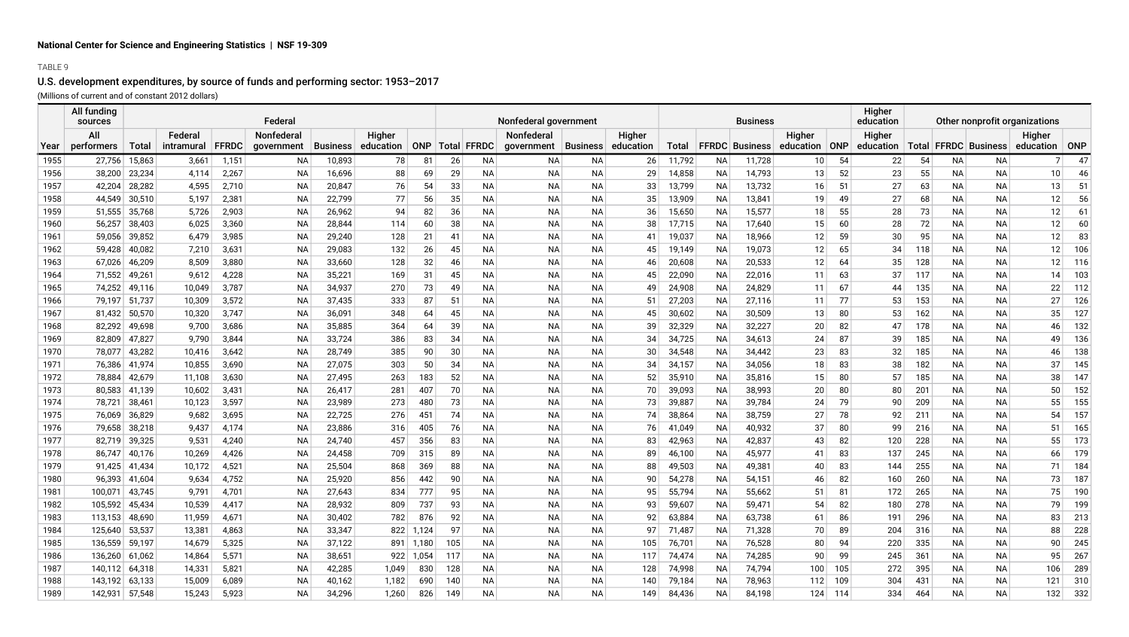## TABLE 9

# U.S. development expenditures, by source of funds and performing sector: 1953–2017

(Millions of current and of constant 2012 dollars)

|      | All funding<br>sources |               |            |              | Federal    |          |           |       |     |                     | Nonfederal government |                 |           |        | <b>Business</b> |                       | Higher<br>education | Other nonprofit organizations |           |     |           |                          |                |     |
|------|------------------------|---------------|------------|--------------|------------|----------|-----------|-------|-----|---------------------|-----------------------|-----------------|-----------|--------|-----------------|-----------------------|---------------------|-------------------------------|-----------|-----|-----------|--------------------------|----------------|-----|
|      | All                    |               | Federal    |              | Nonfederal |          | Higher    |       |     |                     | Nonfederal            |                 | Higher    |        |                 |                       | Higher              |                               | Higher    |     |           |                          | Higher         |     |
| Year | performers             | Total         | intramural | <b>FFRDC</b> | government | Business | education |       |     | ONP   Total   FFRDC | government            | <b>Business</b> | education | Total  |                 | <b>FFRDC</b> Business | education ONP       |                               | education |     |           | Total   FFRDC   Business | education      | ONP |
| 1955 | 27,756                 | 15,863        | 3,661      | 1,151        | ΝA         | 10,893   | 78        | 81    | 26  | NA.                 | ΝA                    | ΝA              | 26        | 11,792 | ΝA              | 11,728                | 10                  | 54                            | 22        | 54  | NА        | ΝA                       | 7 <sup>1</sup> | 47  |
| 1956 | 38,200                 | 23,234        | 4,114      | 2,267        | <b>NA</b>  | 16,696   | 88        | 69    | 29  | <b>NA</b>           | NA                    | <b>NA</b>       | 29        | 14,858 | NA              | 14,793                | 13                  | 52                            | 23        | 55  | <b>NA</b> | <b>NA</b>                | 10             | 46  |
| 1957 | 42,204                 | 28,282        | 4,595      | 2,710        | <b>NA</b>  | 20,847   | 76        | 54    | 33  | <b>NA</b>           | <b>NA</b>             | <b>NA</b>       | 33        | 13,799 | NA              | 13,732                | 16                  | 51                            | 27        | 63  | <b>NA</b> | <b>NA</b>                | 13             | 51  |
| 1958 | 44,549                 | 30,510        | 5,197      | 2,381        | <b>NA</b>  | 22,799   | 77        | 56    | 35  | <b>NA</b>           | <b>NA</b>             | <b>NA</b>       | 35        | 13,909 | NA              | 13,841                | 19                  | 49                            | 27        | 68  | <b>NA</b> | <b>NA</b>                | 12             | 56  |
| 1959 | 51,555                 | 35,768        | 5,726      | 2,903        | <b>NA</b>  | 26,962   | 94        | 82    | 36  | <b>NA</b>           | <b>NA</b>             | <b>NA</b>       | 36        | 15,650 | <b>NA</b>       | 15,577                | 18                  | 55                            | 28        | 73  | NA        | NА                       | 12             | 61  |
| 1960 | 56,257                 | 38,403        | 6,025      | 3,360        | <b>NA</b>  | 28,844   | 114       | 60    | 38  | <b>NA</b>           | <b>NA</b>             | ΝA              | 38        | 17,715 | NA              | 17,640                | 15                  | 60                            | 28        | 72  | NA        | NА                       | 12             | 60  |
| 1961 | 59,056                 | 39,852        | 6,479      | 3,985        | <b>NA</b>  | 29,240   | 128       | 21    | -41 | <b>NA</b>           | NA                    | <b>NA</b>       | 41        | 19,037 | NA              | 18,966                | 12                  | 59                            | 30        | 95  | <b>NA</b> | <b>NA</b>                | 12             | 83  |
| 1962 | 59,428                 | 40,082        | 7,210      | 3,631        | <b>NA</b>  | 29,083   | 132       | 26    | 45  | <b>NA</b>           | <b>NA</b>             | <b>NA</b>       | 45        | 19,149 | NA              | 19,073                | 12                  | 65                            | 34        | 118 | <b>NA</b> | <b>NA</b>                | 12             | 106 |
| 1963 | 67,026                 | 46,209        | 8,509      | 3,880        | <b>NA</b>  | 33,660   | 128       | 32    | 46  | <b>NA</b>           | <b>NA</b>             | <b>NA</b>       | 46        | 20,608 | <b>NA</b>       | 20,533                | 12                  | 64                            | 35        | 128 | NA        | <b>NA</b>                | 12             | 116 |
| 1964 | 71,552                 | 49,261        | 9,612      | 4,228        | <b>NA</b>  | 35,221   | 169       | 31    | 45  | ΝA                  | ΝA                    | NA              | 45        | 22,090 | ΝA              | 22,016                | 11                  | 63                            | 37        | 117 | NА        | ΝA                       | 14             | 103 |
| 1965 | 74,252                 | 49,116        | 10,049     | 3,787        | <b>NA</b>  | 34,937   | 270       | 73    | 49  | ΝA                  | ΝA                    | NA              | 49        | 24,908 | ΝA              | 24,829                | 11                  | 67                            | 44        | 135 | NА        | NА                       | 22             | 112 |
| 1966 |                        | 79,197 51,737 | 10,309     | 3,572        | <b>NA</b>  | 37,435   | 333       | 87    | 51  | <b>NA</b>           | ΝA                    | NA              | 51        | 27,203 | ΝA              | 27,116                | 11                  | 77                            | 53        | 153 | NА        | NА                       | 27             | 126 |
| 1967 | 81,432                 | 50,570        | 10,320     | 3,747        | <b>NA</b>  | 36,091   | 348       | 64    | 45  | <b>NA</b>           | <b>NA</b>             | <b>NA</b>       | 45        | 30,602 | <b>NA</b>       | 30,509                | 13                  | 80                            | 53        | 162 | <b>NA</b> | <b>NA</b>                | 35             | 127 |
| 1968 | 82,292                 | 49,698        | 9,700      | 3,686        | <b>NA</b>  | 35,885   | 364       | 64    | 39  | <b>NA</b>           | ΝA                    | ΝA              | 39        | 32,329 | ΝA              | 32,227                | 20                  | 82                            | 47        | 178 | <b>NA</b> | NА                       | 46             | 132 |
| 1969 | 82,809                 | 47,827        | 9,790      | 3,844        | <b>NA</b>  | 33,724   | 386       | 83    | 34  | <b>NA</b>           | <b>NA</b>             | <b>NA</b>       | 34        | 34,725 | <b>NA</b>       | 34,613                | 24                  | 87                            | 39        | 185 | NA        | <b>NA</b>                | 49             | 136 |
| 1970 | 78,077                 | 43,282        | 10,416     | 3,642        | <b>NA</b>  | 28,749   | 385       | 90    | 30  | <b>NA</b>           | NA                    | <b>NA</b>       | 30        | 34,548 | <b>NA</b>       | 34,442                | 23                  | 83                            | 32        | 185 | NA        | <b>NA</b>                | 46             | 138 |
| 1971 | 76,386                 | 41,974        | 10,855     | 3,690        | <b>NA</b>  | 27,075   | 303       | 50    | 34  | <b>NA</b>           | <b>NA</b>             | <b>NA</b>       | 34        | 34,157 | NA              | 34,056                | 18                  | 83                            | 38        | 182 | <b>NA</b> | <b>NA</b>                | 37             | 145 |
| 1972 | 78,884                 | 42,679        | 11,108     | 3,630        | <b>NA</b>  | 27,495   | 263       | 183   | 52  | <b>NA</b>           | <b>NA</b>             | <b>NA</b>       | 52        | 35,910 | <b>NA</b>       | 35,816                | 15                  | 80                            | 57        | 185 | <b>NA</b> | <b>NA</b>                | 38             | 147 |
| 1973 | 80,583                 | 41,139        | 10,602     | 3,431        | <b>NA</b>  | 26,417   | 281       | 407   | 70  | <b>NA</b>           | <b>NA</b>             | <b>NA</b>       | 70        | 39,093 | <b>NA</b>       | 38,993                | 20                  | 80                            | 80        | 201 | NA        | <b>NA</b>                | 50             | 152 |
| 1974 | 78,721                 | 38,461        | 10,123     | 3,597        | <b>NA</b>  | 23,989   | 273       | 480   | 73  | <b>NA</b>           | <b>NA</b>             | <b>NA</b>       | 73        | 39,887 | NA              | 39,784                | 24                  | 79                            | 90        | 209 | <b>NA</b> | <b>NA</b>                | 55             | 155 |
| 1975 | 76,069                 | 36,829        | 9,682      | 3,695        | <b>NA</b>  | 22,725   | 276       | 451   | 74  | <b>NA</b>           | ΝA                    | NA              | 74        | 38,864 | NA              | 38,759                | 27                  | 78                            | 92        | 211 | NА        | NА                       | 54             | 157 |
| 1976 | 79,658                 | 38,218        | 9,437      | 4,174        | <b>NA</b>  | 23,886   | 316       | 405   | 76  | <b>NA</b>           | NA                    | <b>NA</b>       | 76        | 41,049 | NA              | 40,932                | 37                  | 80                            | 99        | 216 | <b>NA</b> | <b>NA</b>                | 51             | 165 |
| 1977 | 82,719                 | 39,325        | 9,531      | 4,240        | <b>NA</b>  | 24,740   | 457       | 356   | 83  | <b>NA</b>           | <b>NA</b>             | <b>NA</b>       | 83        | 42,963 | <b>NA</b>       | 42,837                | 43                  | 82                            | 120       | 228 | NA        | <b>NA</b>                | 55             | 173 |
| 1978 | 86.747                 | 40,176        | 10,269     | 4,426        | <b>NA</b>  | 24,458   | 709       | 315   | 89  | <b>NA</b>           | <b>NA</b>             | <b>NA</b>       | 89        | 46,100 | NA              | 45,977                | 41                  | 83                            | 137       | 245 | NA        | <b>NA</b>                | 66             | 179 |
| 1979 | 91,425                 | 41,434        | 10,172     | 4,521        | <b>NA</b>  | 25,504   | 868       | 369   | 88  | <b>NA</b>           | ΝA                    | <b>NA</b>       | 88        | 49,503 | ΝA              | 49,381                | 40                  | 83                            | 144       | 255 | NA        | NА                       | 71             | 184 |
| 1980 |                        | 96,393 41,604 | 9,634      | 4,752        | <b>NA</b>  | 25,920   | 856       | 442   | 90  | <b>NA</b>           | ΝA                    | <b>NA</b>       | 90        | 54,278 | ΝA              | 54,151                | 46                  | 82                            | 160       | 260 | NA        | NА                       | 73             | 187 |
| 1981 | 100,071                | 43,745        | 9,791      | 4,701        | <b>NA</b>  | 27,643   | 834       | 777   | 95  | <b>NA</b>           | ΝA                    | ΝA              | 95        | 55,794 | NA              | 55,662                | 51                  | 81                            | 172       | 265 | NА        | NА                       | 75             | 190 |
| 1982 | 105,592                | 45,434        | 10,539     | 4,417        | <b>NA</b>  | 28,932   | 809       | 737   | 93  | <b>NA</b>           | <b>NA</b>             | ΝA              | 93        | 59,607 | ΝA              | 59,471                | 54                  | 82                            | 180       | 278 | <b>NA</b> | <b>NA</b>                | 79             | 199 |
| 1983 | 113,153                | 48,690        | 11,959     | 4,671        | <b>NA</b>  | 30,402   | 782       | 876   | 92  | <b>NA</b>           | <b>NA</b>             | <b>NA</b>       | 92        | 63,884 | NA              | 63,738                | 61                  | 86                            | 191       | 296 | <b>NA</b> | <b>NA</b>                | 83             | 213 |
| 1984 | 125,640                | 53,537        | 13,381     | 4,863        | <b>NA</b>  | 33,347   | 822       | 1,124 | 97  | <b>NA</b>           | <b>NA</b>             | <b>NA</b>       | 97        | 71,487 | <b>NA</b>       | 71,328                | 70                  | 89                            | 204       | 316 | NA        | <b>NA</b>                | 88             | 228 |
| 1985 | 136,559                | 59,197        | 14,679     | 5,325        | <b>NA</b>  | 37,122   | 891       | 1,180 | 105 | NА                  | NA                    | <b>NA</b>       | 105       | 76,701 | NA              | 76,528                | 80                  | 94                            | 220       | 335 | <b>NA</b> | ΝA                       | 90             | 245 |
| 1986 | 136,260                | 61,062        | 14,864     | 5,571        | <b>NA</b>  | 38,651   | 922       | 1,054 | 117 | <b>NA</b>           | <b>NA</b>             | <b>NA</b>       | 117       | 74,474 | NA              | 74,285                | 90                  | 99                            | 245       | 361 | <b>NA</b> | <b>NA</b>                | 95             | 267 |
| 1987 | 140,112 64,318         |               | 14,331     | 5,821        | <b>NA</b>  | 42,285   | 1.049     | 830   | 128 | <b>NA</b>           | <b>NA</b>             | <b>NA</b>       | 128       | 74,998 | NA              | 74,794                | 100                 | 105                           | 272       | 395 | <b>NA</b> | <b>NA</b>                | 106            | 289 |
| 1988 | 143,192                | 63,133        | 15,009     | 6,089        | <b>NA</b>  | 40,162   | 1,182     | 690   | 140 | <b>NA</b>           | <b>NA</b>             | <b>NA</b>       | 140       | 79,184 | NA              | 78,963                | 112                 | 109                           | 304       | 431 | <b>NA</b> | <b>NA</b>                | 121            | 310 |
| 1989 | 142,931                | 57,548        | 15,243     | 5,923        | <b>NA</b>  | 34,296   | 1,260     | 826   | 149 | NA                  | <b>NA</b>             | <b>NA</b>       | 149       | 84,436 | ΝA              | 84,198                | 124                 | 114                           | 334       | 464 | <b>NA</b> | <b>NA</b>                | 132            | 332 |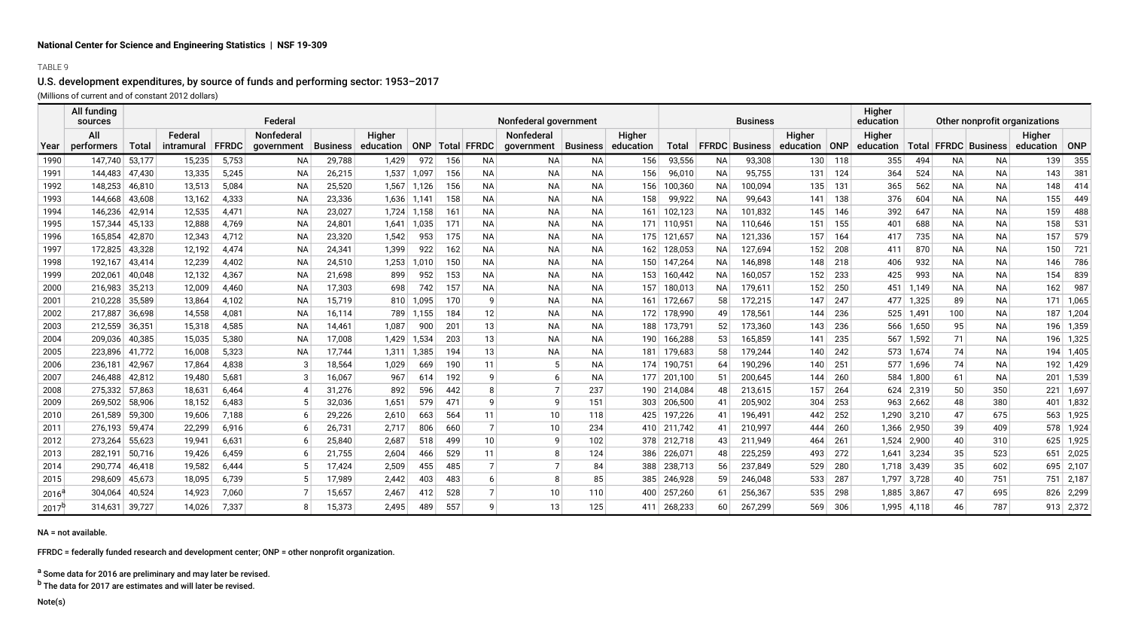### TABLE 9

# U.S. development expenditures, by source of funds and performing sector: 1953–2017

(Millions of current and of constant 2012 dollars)

|                | All funding<br>sources |              |            |              | Federal           |        |                    |       |     |                     | Nonfederal government |           |                    |         |           | <b>Business</b>          |                 |     | Higher<br>education                  | Other nonprofit organizations |           |           |                 |             |
|----------------|------------------------|--------------|------------|--------------|-------------------|--------|--------------------|-------|-----|---------------------|-----------------------|-----------|--------------------|---------|-----------|--------------------------|-----------------|-----|--------------------------------------|-------------------------------|-----------|-----------|-----------------|-------------|
|                | All                    |              | Federal    |              | <b>Nonfederal</b> |        | Higher             |       |     |                     | Nonfederal            |           | Higher             |         |           |                          | Higher          |     | Higher                               |                               |           |           | Higher          |             |
| Year           | performers             | <b>Total</b> | intramural | <b>FFRDC</b> | government        |        | Business education |       |     | ONP   Total   FFRDC | government            |           | Business education |         |           | Total   FFRDC   Business | education   ONP |     | education   Total   FFRDC   Business |                               |           |           | education   ONP |             |
| 1990           | 147,740                | 53,177       | 15,235     | 5,753        | NA                | 29,788 | 1,429              | 972   | 156 | <b>NA</b>           | NA                    | <b>NA</b> | 156                | 93,556  | <b>NA</b> | 93,308                   | 130             | 118 | 355                                  | 494                           | NA        | ΝA        | 139             | 355         |
| 1991           | 144,483                | 47,430       | 13,335     | 5,245        | <b>NA</b>         | 26,215 | 1,537              | 1,097 | 156 | <b>NA</b>           | <b>NA</b>             | <b>NA</b> | 156                | 96,010  | NA        | 95,755                   | 131             | 124 | 364                                  | 524                           | NA        | <b>NA</b> | 143             | 381         |
| 1992           | 148,253                | 46,810       | 13,513     | 5,084        | <b>NA</b>         | 25,520 | 1,567              | 1,126 | 156 | <b>NA</b>           | <b>NA</b>             | <b>NA</b> | 156                | 100,360 | NA        | 100,094                  | 135             | 131 | 365                                  | 562                           | <b>NA</b> | NA.       | 148             | 414         |
| 1993           | 144,668                | 43,608       | 13,162     | 4,333        | NA                | 23,336 | 1,636              | 1,141 | 158 | <b>NA</b>           | <b>NA</b>             | <b>NA</b> | 158                | 99,922  | <b>NA</b> | 99,643                   | 141             | 138 | 376                                  | 604                           | NA        | ΝA        | 155             | 449         |
| 1994           | 146,236                | 42,914       | 12,535     | 4,471        | <b>NA</b>         | 23,027 | 1,724              | 1,158 | 161 | NA                  | <b>NA</b>             | <b>NA</b> | 161                | 102,123 | <b>NA</b> | 101,832                  | 145             | 146 | 392                                  | 647                           | NA        | <b>NA</b> | 159             | 488         |
| 1995           | 157.344                | 45,133       | 12,888     | 4,769        | <b>NA</b>         | 24,801 | 1.641              | 1,035 | 171 | <b>NA</b>           | <b>NA</b>             | <b>NA</b> | 171                | 110,951 | <b>NA</b> | 110,646                  | 151             | 155 | 401                                  | 688                           | <b>NA</b> | NA.       | 158             | 531         |
| 1996           | 165,854                | 42,870       | 12,343     | 4,712        | <b>NA</b>         | 23,320 | 1,542              | 953   | 175 | <b>NA</b>           | NA                    | NA        | 175                | 121,657 | <b>NA</b> | 121,336                  | 157             | 164 | 417                                  | 735                           | NA        | ΝA        | 157             | 579         |
| 1997           | 172,825                | 43,328       | 12,192     | 4,474        | <b>NA</b>         | 24,341 | 1,399              | 922   | 162 | <b>NA</b>           | <b>NA</b>             | <b>NA</b> | 162                | 128,053 | <b>NA</b> | 127,694                  | 152             | 208 | 411                                  | 870                           | <b>NA</b> | ΝA        | 150             | 721         |
| 1998           | 192.167                | 43,414       | 12,239     | 4,402        | <b>NA</b>         | 24,510 | 1,253              | 1,010 | 150 | <b>NA</b>           | <b>NA</b>             | <b>NA</b> | 150                | 147,264 | NA        | 146,898                  | 148             | 218 | 406                                  | 932                           | <b>NA</b> | <b>NA</b> | 146             | 786         |
| 1999           | 202,061                | 40,048       | 12,132     | 4,367        | <b>NA</b>         | 21,698 | 899                | 952   | 153 | <b>NA</b>           | <b>NA</b>             | <b>NA</b> | 153                | 160,442 | <b>NA</b> | 160,057                  | 152             | 233 | 425                                  | 993                           | <b>NA</b> | <b>NA</b> | 154             | 839         |
| 2000           | 216,983                | 35,213       | 12,009     | 4,460        | NA                | 17,303 | 698                | 742   | 157 | <b>NA</b>           | NA                    | <b>NA</b> | 157                | 180,013 | <b>NA</b> | 179,611                  | 152             | 250 | 451                                  | 1,149                         | <b>NA</b> | ΝA        | 162             | 987         |
| 2001           | 210,228                | 35,589       | 13,864     | 4,102        | <b>NA</b>         | 15,719 | 810                | 1,095 | 170 | 9                   | <b>NA</b>             | <b>NA</b> | 161                | 172,667 | 58        | 172,215                  | 147             | 247 |                                      | 477 1,325                     | 89        | <b>NA</b> |                 | $171$ 1,065 |
| 2002           | 217,887                | 36,698       | 14,558     | 4,081        | <b>NA</b>         | 16,114 | 789                | 1,155 | 184 | 12                  | <b>NA</b>             | <b>NA</b> | 172                | 178,990 | 49        | 178,561                  | 144             | 236 |                                      | 525 1,491                     | 100       | <b>NA</b> | 187             | 1,204       |
| 2003           | 212,559                | 36,351       | 15,318     | 4,585        | NA                | 14,461 | 1,087              | 900   | 201 | 13                  | <b>NA</b>             | <b>NA</b> | 188                | 173,791 | 52        | 173,360                  | 143             | 236 |                                      | 566 1,650                     | 95        | NА        |                 | 196 1,359   |
| 2004           | 209,036                | 40,385       | 15,035     | 5,380        | <b>NA</b>         | 17,008 | 1,429              | 1,534 | 203 | 13                  | <b>NA</b>             | <b>NA</b> | 190                | 166,288 | 53        | 165,859                  | 141             | 235 |                                      | 567 1,592                     | 71        | NA.       |                 | 196 1,325   |
| 2005           | 223,896                | 41,772       | 16,008     | 5,323        | <b>NA</b>         | 17,744 | 1,311              | 1,385 | 194 | 13                  | ΝA                    | <b>NA</b> | 181                | 179,683 | 58        | 179,244                  | 140             | 242 |                                      | 573 1,674                     | 74        | <b>NA</b> | 194             | 1,405       |
| 2006           | 236.181                | 42,967       | 17.864     | 4,838        | 3                 | 18,564 | 1,029              | 669   | 190 | 11                  |                       | <b>NA</b> | 174                | 190,751 | 64        | 190,296                  | 140             | 251 |                                      | 577 1,696                     | 74        | <b>NA</b> |                 | 192 1,429   |
| 2007           | 246,488                | 42,812       | 19,480     | 5,681        |                   | 16,067 | 967                | 614   | 192 | 9                   |                       | <b>NA</b> | 177                | 201,100 | 51        | 200,645                  | 144             | 260 |                                      | 584 1,800                     | 61        | NA.       | 201             | 1,539       |
| 2008           | 275,332                | 57,863       | 18,631     | 6,464        |                   | 31,276 | 892                | 596   | 442 | 8                   |                       | 237       | 190                | 214,084 | 48        | 213,615                  | 157             | 264 |                                      | $624$ 2,319                   | 50        | 350       | 221             | 1,697       |
| 2009           | 269,502                | 58,906       | 18,152     | 6,483        |                   | 32,036 | 1,651              | 579   | 471 | 9                   | q                     | 151       | 303                | 206,500 | 41        | 205,902                  | 304             | 253 |                                      | $963$ 2,662                   | 48        | 380       | 401             | 1,832       |
| 2010           | 261,589                | 59,300       | 19,606     | 7,188        |                   | 29,226 | 2,610              | 663   | 564 | 11                  | 10                    | 118       | 425                | 197,226 | 41        | 196,491                  | 442             | 252 |                                      | $1,290$ 3,210                 | 47        | 675       |                 | 563 1,925   |
| 2011           | 276,193                | 59,474       | 22,299     | 6,916        |                   | 26,731 | 2,717              | 806   | 660 |                     | 10                    | 234       | 410                | 211,742 | 41        | 210,997                  | 444             | 260 |                                      | 1,366 2,950                   | 39        | 409       |                 | 578 1,924   |
| 2012           | 273,264                | 55,623       | 19,941     | 6,631        |                   | 25,840 | 2,687              | 518   | 499 | 10 <sup>1</sup>     | q                     | 102       | 378                | 212,718 | 43        | 211,949                  | 464             | 261 |                                      | $1,524$ 2,900                 | 40        | 310       |                 | $625$ 1,925 |
| 2013           | 282,191                | 50,716       | 19,426     | 6,459        |                   | 21,755 | 2,604              | 466   | 529 | 11                  |                       | 124       | 386                | 226,071 | 48        | 225,259                  | 493             | 272 | 1,641                                | 3,234                         | 35        | 523       | 651             | 2,025       |
| 2014           | 290,774                | 46,418       | 19,582     | 6,444        |                   | 17,424 | 2,509              | 455   | 485 |                     |                       | 84        | 388                | 238,713 | 56        | 237,849                  | 529             | 280 |                                      | 1,718 3,439                   | 35        | 602       | 695             | 2,107       |
| 2015           | 298,609                | 45,673       | 18,095     | 6,739        |                   | 17,989 | 2,442              | 403   | 483 | 6                   | 8                     | 85        | 385                | 246,928 | 59        | 246,048                  | 533             | 287 |                                      | 1,797 3,728                   | 40        | 751       |                 | 751 2,187   |
| $2016^{\circ}$ | 304,064                | 40,524       | 14,923     | 7,060        |                   | 15,657 | 2,467              | 412   | 528 |                     | 10                    | 110       | 400                | 257,260 | 61        | 256,367                  | 535             | 298 |                                      | 1,885 3,867                   | 47        | 695       | 826             | 2,299       |
| $2017^{h}$     | 314,631                | 39,727       | 14,026     | 7,337        |                   | 15,373 | 2,495              | 489   | 557 | q                   | 13                    | 125       | 411                | 268,233 | 60        | 267,299                  | 569             | 306 |                                      | 1,995 4,118                   | 46        | 787       |                 | 913   2,372 |

NA = not available.

FFRDC = federally funded research and development center; ONP = other nonprofit organization.

a Some data for 2016 are preliminary and may later be revised.

<sup>b</sup> The data for 2017 are estimates and will later be revised.